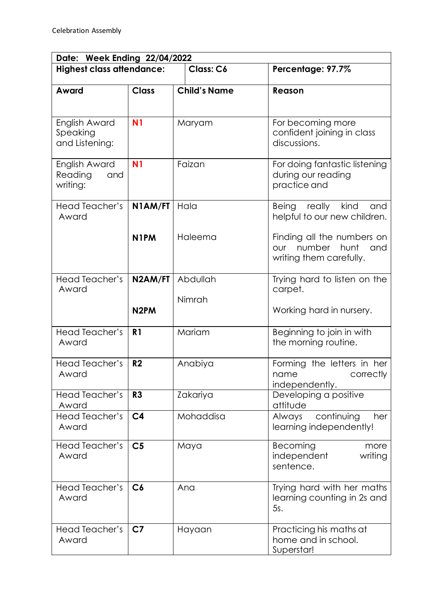| Date: Week Ending 22/04/2022                |                   |                     |                                                                                       |  |  |
|---------------------------------------------|-------------------|---------------------|---------------------------------------------------------------------------------------|--|--|
| <b>Highest class attendance:</b>            |                   | Class: C6           | Percentage: 97.7%                                                                     |  |  |
| Award                                       | <b>Class</b>      | <b>Child's Name</b> | Reason                                                                                |  |  |
| English Award<br>Speaking<br>and Listening: | N <sub>1</sub>    | Maryam              | For becoming more<br>confident joining in class<br>discussions.                       |  |  |
| English Award<br>Reading<br>and<br>writing: | N <sub>1</sub>    | Faizan              | For doing fantastic listening<br>during our reading<br>practice and                   |  |  |
| Head Teacher's<br>Award                     | N1AM/FT           | Hala                | kind<br>Being really<br>and<br>helpful to our new children.                           |  |  |
|                                             | N <sub>1</sub> PM | Haleema             | Finding all the numbers on<br>number<br>hunt<br>our<br>and<br>writing them carefully. |  |  |
| Head Teacher's<br>Award                     | N2AM/FT           | Abdullah            | Trying hard to listen on the<br>carpet.                                               |  |  |
|                                             | N <sub>2</sub> PM | Nimrah              | Working hard in nursery.                                                              |  |  |
| <b>Head Teacher's</b><br>Award              | R <sub>1</sub>    | Mariam              | Beginning to join in with<br>the morning routine.                                     |  |  |
| Head Teacher's<br>Award                     | R <sub>2</sub>    | Anabiya             | Forming the letters in her<br>correctly<br>name<br>independently.                     |  |  |
| Head Teacher's<br>Award                     | R <sub>3</sub>    | Zakariya            | Developing a positive<br>attitude                                                     |  |  |
| <b>Head Teacher's</b><br>Award              | C <sub>4</sub>    | Mohaddisa           | continuing<br>Always<br>her<br>learning independently!                                |  |  |
| Head Teacher's<br>Award                     | C <sub>5</sub>    | Maya                | Becoming<br>more<br>independent<br>writing<br>sentence.                               |  |  |
| Head Teacher's<br>Award                     | C6                | Ana                 | Trying hard with her maths<br>learning counting in 2s and<br>5s.                      |  |  |
| Head Teacher's<br>Award                     | C <sub>7</sub>    | Hayaan              | Practicing his maths at<br>home and in school.<br>Superstar!                          |  |  |